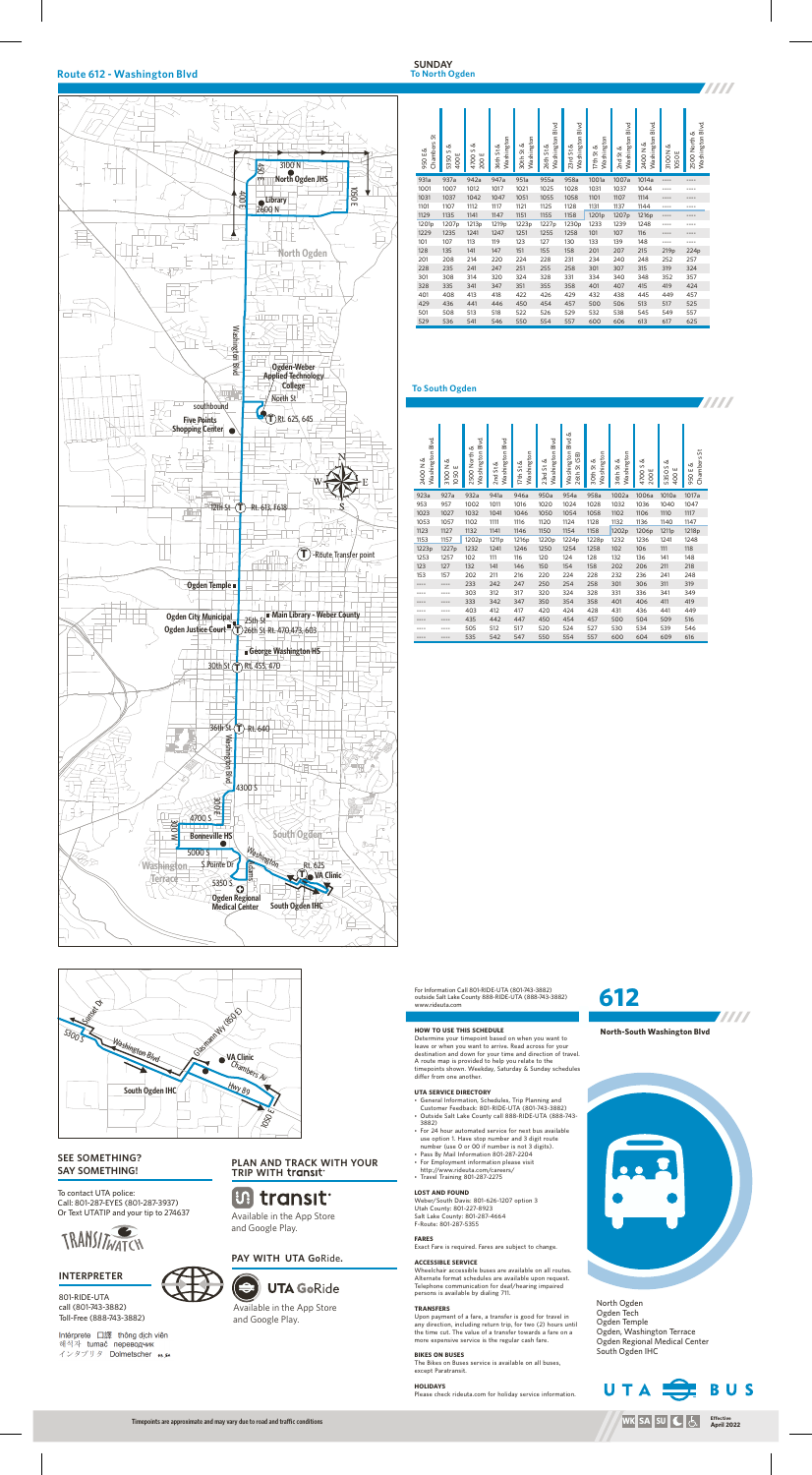

North Ogden Ogden Tech Ogden Temple Ogden, Washington Terrace Ogden Regional Medical Center South Ogden IHC



# **612**





## **Route 612 - Washington Blvd**

#### **To North Ogden SUNDAY**



#### **To South Ogden**



### **INTERPRETER**

801-RIDE-UTA call (801-743-3882) Toll-Free (888-743-3882)

Intérprete 口譯 thông dịch viên 해석자 tumač переводчик インタプリタ Dolmetscher メル

To contact UTA police: Call: 801-287-EYES (801-287-3937) Or Text UTATIP and your tip to 274637



## **SEE SOMETHING? SAY SOMETHING!**

For Information Call 801-RIDE-UTA (801-743-3882) outside Salt Lake County 888-RIDE-UTA (888-743-3882) www.rideuta.com

#### **HOW TO USE THIS SCHEDULE**

Determine your timepoint based on when you want to leave or when you want to arrive. Read across for your destination and down for your time and direction of travel. A route map is provided to help you relate to the timepoints shown. Weekday, Saturday & Sunday schedules differ from one another.

#### **UTA SERVICE DIRECTORY**

- General Information, Schedules, Trip Planning and
- Customer Feedback: 801-RIDE-UTA (801-743-3882) • Outside Salt Lake County call 888-RIDE-UTA (888-743-3882)
- For 24 hour automated service for next bus available use option 1. Have stop number and 3 digit route number (use 0 or 00 if number is not 3 digits).
- Pass By Mail Information 801-287-2204
- For Employment information please visit
- http://www.rideuta.com/careers/ • Travel Training 801-287-2275

#### **LOST AND FOUND**

Weber/South Davis: 801-626-1207 option 3 Utah County: 801-227-8923 Salt Lake County: 801-287-4664 F-Route: 801-287-5355

#### **FARES**

Exact Fare is required. Fares are subject to change.

#### **ACCESSIBLE SERVICE**

Wheelchair accessible buses are available on all routes. Alternate format schedules are available upon request. Telephone communication for deaf/hearing impaired persons is available by dialing 711.

#### **TRANSFERS**

Upon payment of a fare, a transfer is good for travel in any direction, including return trip, for two (2) hours until the time cut. The value of a transfer towards a fare on a more expensive service is the regular cash fare.

#### **BIKES ON BUSES**

The Bikes on Buses service is available on all buses, except Paratransit.

**HOLIDAYS** Please check rideuta.com for holiday service information.

# **PLAN AND TRACK WITH YOUR TRIP WITH**

# **Ut transit**

Available in the App Store and Google Play.

# **PAY WITH UTA Go**Ride**.**



Available in the App Store and Google Play.

| 5<br>Chambers<br>950 E & | య<br>S<br>ш<br>5350<br>400 | Ø<br>$\sim$<br>200E<br>4700 | Washington<br>36th St & | Washington<br>30th St & | Washington Blvd<br>26th St & | Washington Blvd<br>$23rd$ St & | Washington<br>త<br>17th St | Washington Blvd<br>$2nd$ St & | Washington Blvd<br>2400N& | త<br>3100 N<br>ш<br>1050 | Washington Blvd.<br>2500 North & |  |
|--------------------------|----------------------------|-----------------------------|-------------------------|-------------------------|------------------------------|--------------------------------|----------------------------|-------------------------------|---------------------------|--------------------------|----------------------------------|--|
| 931a                     | 937a                       | 942a                        | 947a                    | 951a                    | 955a                         | 958a                           | 1001a                      | 1007a                         | 1014a                     | ----                     | ----                             |  |
| 1001                     | 1007                       | 1012                        | 1017                    | 1021                    | 1025                         | 1028                           | 1031                       | 1037                          | 1044                      | ----                     | ----                             |  |
| 1031                     | 1037                       | 1042                        | 1047                    | 1051                    | 1055                         | 1058                           | 1101                       | 1107                          | 1114                      | ----                     | ----                             |  |
| 1101                     | 1107                       | 1112                        | 1117                    | 1121                    | 1125                         | 1128                           | 1137<br>1131               |                               | 1144                      | ----                     | ----                             |  |
| 1129                     | 1135                       | 1141                        | 1147                    | 1151                    | 1155                         |                                | 1201p<br>1207p             |                               | 1216p                     | ----                     | ----                             |  |
| 1201 <sub>p</sub>        | 1207p                      | 1213p                       | 1219 <sub>p</sub>       | 1223p                   | 1227p                        | 1230p                          | 1233                       | 1239                          | 1248                      | ----                     | ----                             |  |
| 1229                     | 1235                       | 1241                        | 1247                    | 1251                    | 1255                         | 1258                           | 101                        | 107                           | 116                       | ----                     | ----                             |  |
| 101                      | 107                        | 113                         | 119                     | 123                     | 127                          | 130                            | 133                        | 139                           | 148                       | ----                     | ----                             |  |
| 128                      | 135                        | 141                         | 147                     | 151                     | 155                          | 158                            | 201                        | 207                           | 215                       | 219 <sub>p</sub>         | 224p                             |  |
| 201                      | 208                        | 214                         | 220                     | 224                     | 228                          | 231                            | 234                        | 240                           | 248                       | 252                      | 257                              |  |
| 228                      | 235                        | 241                         | 247                     | 251                     | 255                          | 258                            | 301                        | 307                           | 315                       | 319                      | 324                              |  |
| 301                      | 308                        | 314                         | 320                     | 324                     | 328                          | 331                            | 334                        | 340                           | 348                       | 352                      | 357                              |  |
| 328                      | 335                        | 341                         | 347                     | 351                     | 355                          | 358                            | 401                        | 407                           | 415                       | 419                      | 424                              |  |
| 401                      | 408                        | 413                         | 418                     | 422                     | 426                          | 429                            | 432                        | 438                           | 445                       | 449                      | 457                              |  |
| 429                      | 436                        | 441                         | 446                     | 450                     | 454                          | 457                            | 500                        | 506                           | 513                       | 517                      | 525                              |  |
| 501                      | 508                        | 513                         | 518                     | 522                     | 526                          | 529                            | 532                        | 538                           | 545                       | 549                      | 557                              |  |
| 529                      | 536                        | 541                         | 546                     | 550                     | 554                          | 557                            | 600                        | 606                           | 613                       | 617                      | 625                              |  |

| Washington Blvd<br>2400 N & | య<br>3100 N<br>ш<br>1050 | Washington Blvd<br>2500 North & | Washington Blvd<br>ൾ<br>2nd St | Washington<br>ൾ<br>17th St | Washington Blvd<br>ൾ<br>$23rd$ St | ൾ<br>Blvd<br>Washington<br>26th St (SB) | Washington<br>30th St & | Washington<br>36th St & | త<br>S<br>ш<br>4700<br>200 | త<br>5350S<br>ш<br>400 | 5<br>Chambers<br>Ø<br>ш<br>950 |  |
|-----------------------------|--------------------------|---------------------------------|--------------------------------|----------------------------|-----------------------------------|-----------------------------------------|-------------------------|-------------------------|----------------------------|------------------------|--------------------------------|--|
| 923a                        | 927a                     | 932a                            | 941a                           | 946a                       | 950a                              | 954a                                    | 958a                    | 1002a                   | 1006a                      | 1010a                  | 1017a                          |  |
| 953                         | 957                      | 1002                            | 1011                           | 1016                       | 1020                              | 1024                                    | 1028                    | 1032                    | 1036                       | 1040                   | 1047                           |  |
| 1023                        | 1027                     | 1032                            | 1041                           | 1046                       | 1050                              | 1054                                    | 1058                    | 1102                    | 1106                       | 1110                   | 1117                           |  |
| 1053                        | 1057                     | 1102                            | 1111                           | 1116                       | 1120                              | 1124                                    | 1128                    | 1132                    | 1136                       | 1140                   | 1147                           |  |
| 1123                        | 1127                     | 1132                            | 1141                           | 1146                       | 1150                              | 1154                                    | 1158                    | 1202p                   | 1206p                      | 1211p                  | 1218p                          |  |
| 1153                        | 1157                     | 1202p                           | 1211 <sub>p</sub>              | 1216p                      | 1220p                             | 1224p                                   | 1228p                   | 1232                    | 1236                       | 1241                   | 1248                           |  |
| 1223p                       | 1227p                    | 1232                            | 1241                           | 1246                       | 1250                              | 1254                                    | 1258                    | 102                     | 106                        | 111                    | 118                            |  |
| 1253                        | 1257                     | 102                             | 111                            | 116                        | 120                               | 124                                     | 128                     | 132                     | 136                        | 141                    | 148                            |  |
| 123                         | 127                      | 132                             | 141                            | 146                        | 150                               | 154                                     | 158                     | 202                     | 206                        | 211                    | 218                            |  |
| 153                         | 157                      | 202                             | 211                            | 216                        | 220                               | 224                                     | 228                     | 232                     | 236                        | 241                    | 248                            |  |
| ----                        | ----                     | 233                             | 242                            | 247                        | 250                               | 254                                     | 258                     | 301                     | 306                        | 311                    | 319                            |  |
| ----                        | ----                     | 303                             | 312                            | 317                        | 320                               | 324                                     | 328                     | 331                     | 336                        | 341                    | 349                            |  |
|                             | ----                     | 333                             | 342                            | 347                        | 350                               | 354                                     | 358                     | 401                     | 406                        | 411                    | 419                            |  |
|                             |                          | 403                             | 412                            | 417                        | 420                               | 424                                     | 428                     | 431                     | 436                        | 441                    | 449                            |  |
|                             | ----                     | 435                             | 442                            | 447                        | 450                               | 454                                     | 457                     | 500                     | 504                        | 509                    | 516                            |  |
|                             |                          | 505                             | 512                            | 517                        | 520                               | 524                                     | 527                     | 530                     | 534                        | 539                    | 546                            |  |
|                             | ----                     | 535                             | 542                            | 547                        | 550                               | 554                                     | 557                     | 600                     | 604                        | 609                    | 616                            |  |

# **TITLE**

**TITTI**